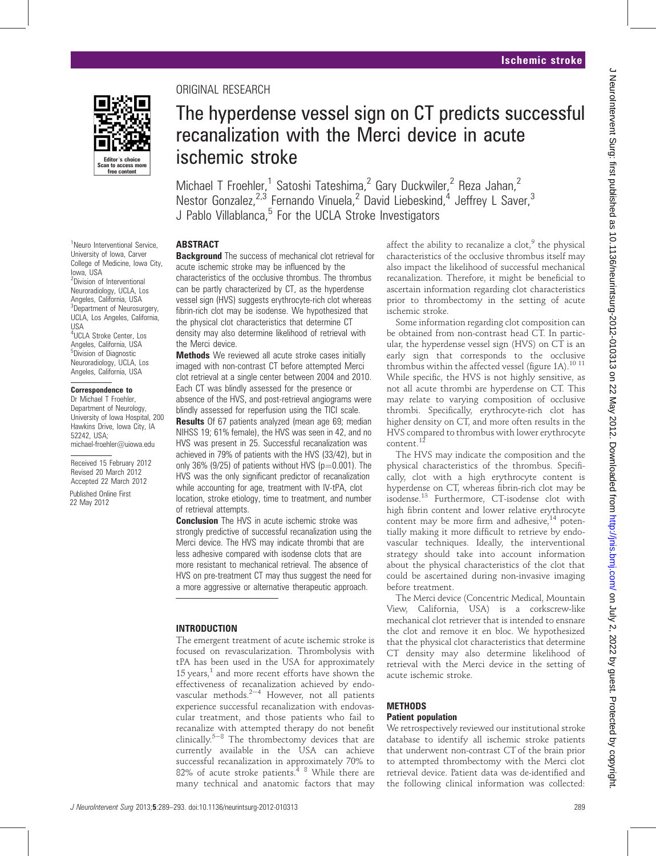

# ORIGINAL RESEARCH

# The hyperdense vessel sign on CT predicts successful recanalization with the Merci device in acute ischemic stroke

Michael T Froehler,<sup>1</sup> Satoshi Tateshima,<sup>2</sup> Gary Duckwiler,<sup>2</sup> Reza Jahan,<sup>2</sup> Nestor Gonzalez,<sup>2,3</sup> Fernando Vinuela,<sup>2</sup> David Liebeskind,<sup>4</sup> Jeffrey L Saver,<sup>3</sup> J Pablo Villablanca,<sup>5</sup> For the UCLA Stroke Investigators

## ABSTRACT

**Background** The success of mechanical clot retrieval for acute ischemic stroke may be influenced by the characteristics of the occlusive thrombus. The thrombus can be partly characterized by CT, as the hyperdense vessel sign (HVS) suggests erythrocyte-rich clot whereas fibrin-rich clot may be isodense. We hypothesized that the physical clot characteristics that determine CT density may also determine likelihood of retrieval with the Merci device.

**Methods** We reviewed all acute stroke cases initially imaged with non-contrast CT before attempted Merci clot retrieval at a single center between 2004 and 2010. Each CT was blindly assessed for the presence or absence of the HVS, and post-retrieval angiograms were blindly assessed for reperfusion using the TICI scale.

**Results** Of 67 patients analyzed (mean age 69; median NIHSS 19; 61% female), the HVS was seen in 42, and no HVS was present in 25. Successful recanalization was achieved in 79% of patients with the HVS (33/42), but in only 36% (9/25) of patients without HVS ( $p=0.001$ ). The HVS was the only significant predictor of recanalization while accounting for age, treatment with IV-tPA, clot location, stroke etiology, time to treatment, and number of retrieval attempts.

**Conclusion** The HVS in acute ischemic stroke was strongly predictive of successful recanalization using the Merci device. The HVS may indicate thrombi that are less adhesive compared with isodense clots that are more resistant to mechanical retrieval. The absence of HVS on pre-treatment CT may thus suggest the need for a more aggressive or alternative therapeutic approach.

## INTRODUCTION

The emergent treatment of acute ischemic stroke is focused on revascularization. Thrombolysis with tPA has been used in the USA for approximately 15 years, $1$  and more recent efforts have shown the effectiveness of recanalization achieved by endo-<br>vascular methods.<sup>2–4</sup> However, not all patients experience successful recanalization with endovascular treatment, and those patients who fail to recanalize with attempted therapy do not benefit clinically. $5-8$  The thrombectomy devices that are currently available in the USA can achieve successful recanalization in approximately 70% to 82% of acute stroke patients. $48$  While there are many technical and anatomic factors that may affect the ability to recanalize a clot, $9$  the physical characteristics of the occlusive thrombus itself may also impact the likelihood of successful mechanical recanalization. Therefore, it might be beneficial to ascertain information regarding clot characteristics prior to thrombectomy in the setting of acute ischemic stroke.

Some information regarding clot composition can be obtained from non-contrast head CT. In particular, the hyperdense vessel sign (HVS) on CT is an early sign that corresponds to the occlusive thrombus within the affected vessel (figure 1A).<sup>10 11</sup> While specific, the HVS is not highly sensitive, as not all acute thrombi are hyperdense on CT. This may relate to varying composition of occlusive thrombi. Specifically, erythrocyte-rich clot has higher density on CT, and more often results in the HVS compared to thrombus with lower erythrocyte content.<sup>12</sup>

The HVS may indicate the composition and the physical characteristics of the thrombus. Specifically, clot with a high erythrocyte content is hyperdense on CT, whereas fibrin-rich clot may be isodense.<sup>13</sup> Furthermore, CT-isodense clot with high fibrin content and lower relative erythrocyte content may be more firm and adhesive,  $14$  potentially making it more difficult to retrieve by endovascular techniques. Ideally, the interventional strategy should take into account information about the physical characteristics of the clot that could be ascertained during non-invasive imaging before treatment.

The Merci device (Concentric Medical, Mountain View, California, USA) is a corkscrew-like mechanical clot retriever that is intended to ensnare the clot and remove it en bloc. We hypothesized that the physical clot characteristics that determine CT density may also determine likelihood of retrieval with the Merci device in the setting of acute ischemic stroke.

# **METHODS**

## Patient population

We retrospectively reviewed our institutional stroke database to identify all ischemic stroke patients that underwent non-contrast CT of the brain prior to attempted thrombectomy with the Merci clot retrieval device. Patient data was de-identified and the following clinical information was collected:

<sup>1</sup>Neuro Interventional Service, University of Iowa, Carver College of Medicine, Iowa City, Iowa, USA 2 Division of Interventional Neuroradiology, UCLA, Los Angeles, California, USA <sup>3</sup>Department of Neurosurgery, UCLA, Los Angeles, California, USA 4 UCLA Stroke Center, Los Angeles, California, USA

5 Division of Diagnostic Neuroradiology, UCLA, Los Angeles, California, USA

#### Correspondence to

Dr Michael T Froehler, Department of Neurology, University of Iowa Hospital, 200 Hawkins Drive, Iowa City, IA 52242, USA; michael-froehler@uiowa.edu

Received 15 February 2012 Revised 20 March 2012 Accepted 22 March 2012

Published Online First 22 May 2012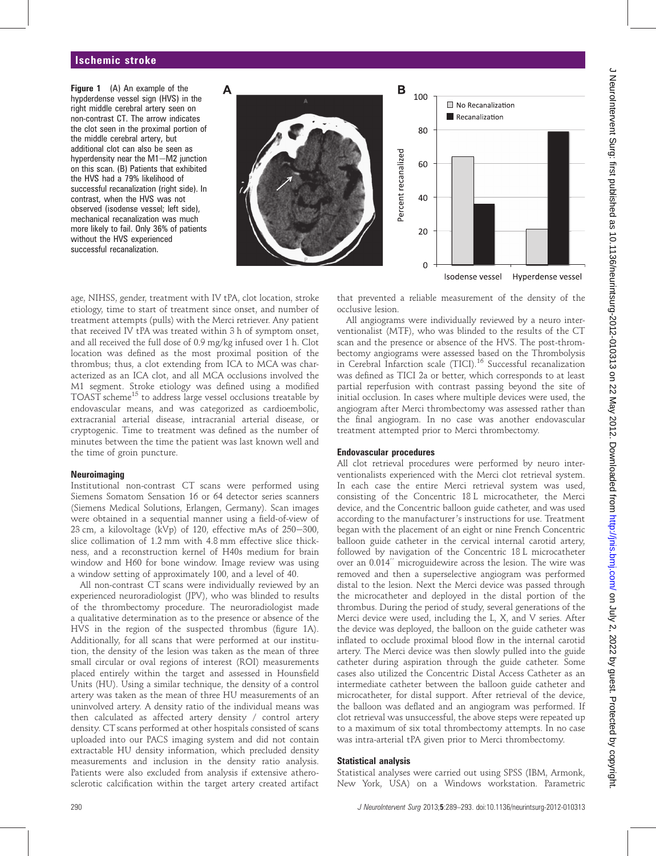Figure 1 (A) An example of the hypderdense vessel sign (HVS) in the right middle cerebral artery seen on non-contrast CT. The arrow indicates the clot seen in the proximal portion of the middle cerebral artery, but additional clot can also be seen as hyperdensity near the  $M1-M2$  junction on this scan. (B) Patients that exhibited the HVS had a 79% likelihood of successful recanalization (right side). In contrast, when the HVS was not observed (isodense vessel; left side), mechanical recanalization was much more likely to fail. Only 36% of patients without the HVS experienced successful recanalization.





age, NIHSS, gender, treatment with IV tPA, clot location, stroke etiology, time to start of treatment since onset, and number of treatment attempts (pulls) with the Merci retriever. Any patient that received IV tPA was treated within 3 h of symptom onset, and all received the full dose of 0.9 mg/kg infused over 1 h. Clot location was defined as the most proximal position of the thrombus; thus, a clot extending from ICA to MCA was characterized as an ICA clot, and all MCA occlusions involved the M1 segment. Stroke etiology was defined using a modified TOAST scheme<sup>15</sup> to address large vessel occlusions treatable by endovascular means, and was categorized as cardioembolic, extracranial arterial disease, intracranial arterial disease, or cryptogenic. Time to treatment was defined as the number of minutes between the time the patient was last known well and the time of groin puncture.

#### Neuroimaging

Institutional non-contrast CT scans were performed using Siemens Somatom Sensation 16 or 64 detector series scanners (Siemens Medical Solutions, Erlangen, Germany). Scan images were obtained in a sequential manner using a field-of-view of 23 cm, a kilovoltage (kVp) of 120, effective mAs of  $250-300$ , slice collimation of 1.2 mm with 4.8 mm effective slice thickness, and a reconstruction kernel of H40s medium for brain window and H60 for bone window. Image review was using a window setting of approximately 100, and a level of 40.

All non-contrast CT scans were individually reviewed by an experienced neuroradiologist (JPV), who was blinded to results of the thrombectomy procedure. The neuroradiologist made a qualitative determination as to the presence or absence of the HVS in the region of the suspected thrombus (figure 1A). Additionally, for all scans that were performed at our institution, the density of the lesion was taken as the mean of three small circular or oval regions of interest (ROI) measurements placed entirely within the target and assessed in Hounsfield Units (HU). Using a similar technique, the density of a control artery was taken as the mean of three HU measurements of an uninvolved artery. A density ratio of the individual means was then calculated as affected artery density / control artery density. CT scans performed at other hospitals consisted of scans uploaded into our PACS imaging system and did not contain extractable HU density information, which precluded density measurements and inclusion in the density ratio analysis. Patients were also excluded from analysis if extensive atherosclerotic calcification within the target artery created artifact

that prevented a reliable measurement of the density of the occlusive lesion.

All angiograms were individually reviewed by a neuro interventionalist (MTF), who was blinded to the results of the CT scan and the presence or absence of the HVS. The post-thrombectomy angiograms were assessed based on the Thrombolysis in Cerebral Infarction scale (TICI).<sup>16</sup> Successful recanalization was defined as TICI 2a or better, which corresponds to at least partial reperfusion with contrast passing beyond the site of initial occlusion. In cases where multiple devices were used, the angiogram after Merci thrombectomy was assessed rather than the final angiogram. In no case was another endovascular treatment attempted prior to Merci thrombectomy.

## Endovascular procedures

All clot retrieval procedures were performed by neuro interventionalists experienced with the Merci clot retrieval system. In each case the entire Merci retrieval system was used, consisting of the Concentric 18 L microcatheter, the Merci device, and the Concentric balloon guide catheter, and was used according to the manufacturer's instructions for use. Treatment began with the placement of an eight or nine French Concentric balloon guide catheter in the cervical internal carotid artery, followed by navigation of the Concentric 18 L microcatheter over an 0.014<sup>"</sup> microguidewire across the lesion. The wire was removed and then a superselective angiogram was performed distal to the lesion. Next the Merci device was passed through the microcatheter and deployed in the distal portion of the thrombus. During the period of study, several generations of the Merci device were used, including the L, X, and V series. After the device was deployed, the balloon on the guide catheter was inflated to occlude proximal blood flow in the internal carotid artery. The Merci device was then slowly pulled into the guide catheter during aspiration through the guide catheter. Some cases also utilized the Concentric Distal Access Catheter as an intermediate catheter between the balloon guide catheter and microcatheter, for distal support. After retrieval of the device, the balloon was deflated and an angiogram was performed. If clot retrieval was unsuccessful, the above steps were repeated up to a maximum of six total thrombectomy attempts. In no case was intra-arterial tPA given prior to Merci thrombectomy.

# Statistical analysis

Statistical analyses were carried out using SPSS (IBM, Armonk, New York, USA) on a Windows workstation. Parametric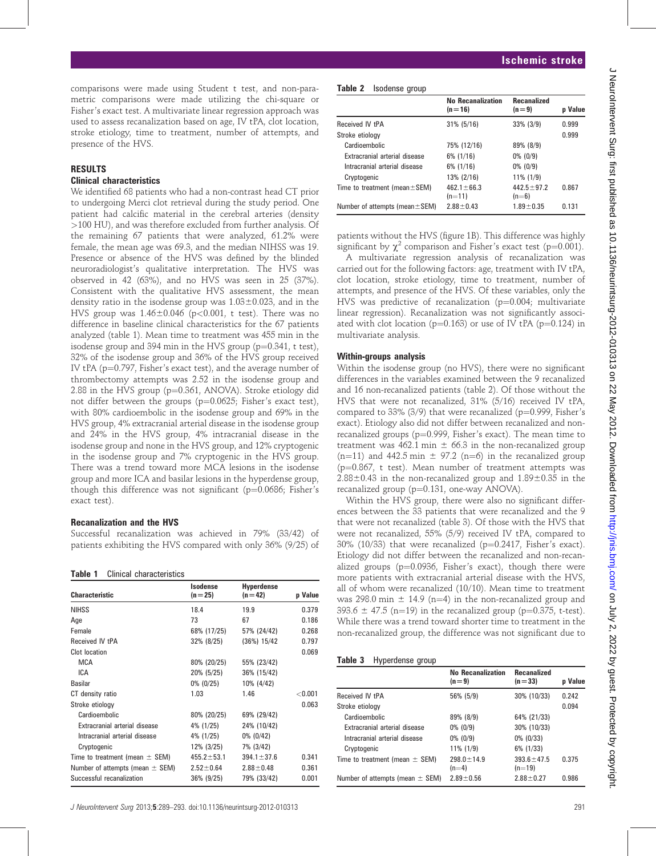comparisons were made using Student t test, and non-parametric comparisons were made utilizing the chi-square or Fisher's exact test. A multivariate linear regression approach was used to assess recanalization based on age, IV tPA, clot location, stroke etiology, time to treatment, number of attempts, and presence of the HVS.

#### RESULTS

#### Clinical characteristics

We identified 68 patients who had a non-contrast head CT prior to undergoing Merci clot retrieval during the study period. One patient had calcific material in the cerebral arteries (density >100 HU), and was therefore excluded from further analysis. Of the remaining 67 patients that were analyzed, 61.2% were female, the mean age was 69.3, and the median NIHSS was 19. Presence or absence of the HVS was defined by the blinded neuroradiologist's qualitative interpretation. The HVS was observed in 42 (63%), and no HVS was seen in 25 (37%). Consistent with the qualitative HVS assessment, the mean density ratio in the isodense group was  $1.03\pm0.023$ , and in the HVS group was  $1.46 \pm 0.046$  (p<0.001, t test). There was no difference in baseline clinical characteristics for the 67 patients analyzed (table 1). Mean time to treatment was 455 min in the isodense group and 394 min in the HVS group ( $p=0.341$ , t test), 32% of the isodense group and 36% of the HVS group received IV tPA ( $p=0.797$ , Fisher's exact test), and the average number of thrombectomy attempts was 2.52 in the isodense group and 2.88 in the HVS group ( $p=0.361$ , ANOVA). Stroke etiology did not differ between the groups ( $p=0.0625$ ; Fisher's exact test), with 80% cardioembolic in the isodense group and 69% in the HVS group, 4% extracranial arterial disease in the isodense group and 24% in the HVS group, 4% intracranial disease in the isodense group and none in the HVS group, and 12% cryptogenic in the isodense group and 7% cryptogenic in the HVS group. There was a trend toward more MCA lesions in the isodense group and more ICA and basilar lesions in the hyperdense group, though this difference was not significant ( $p=0.0686$ ; Fisher's exact test).

#### Recanalization and the HVS

Successful recanalization was achieved in 79% (33/42) of patients exhibiting the HVS compared with only 36% (9/25) of

#### Table 1 Clinical characteristics

| <b>Characteristic</b>               | Isodense<br>$(n = 25)$ | <b>Hyperdense</b><br>$(n=42)$ | p Value |
|-------------------------------------|------------------------|-------------------------------|---------|
| <b>NIHSS</b>                        | 18.4                   | 19.9                          | 0.379   |
| Age                                 | 73                     | 67                            | 0.186   |
| Female                              | 68% (17/25)            | 57% (24/42)                   | 0.268   |
| Received IV tPA                     | 32% (8/25)             | $(36\%) 15/42$                | 0.797   |
| Clot location                       |                        |                               | 0.069   |
| <b>MCA</b>                          | 80% (20/25)            | 55% (23/42)                   |         |
| <b>ICA</b>                          | 20% (5/25)             | 36% (15/42)                   |         |
| Basilar                             | $0\%$ (0/25)           | 10% (4/42)                    |         |
| CT density ratio                    | 1.03                   | 1.46                          | < 0.001 |
| Stroke etiology                     |                        |                               | 0.063   |
| Cardioembolic                       | 80% (20/25)            | 69% (29/42)                   |         |
| Extracranial arterial disease       | 4% (1/25)              | 24% (10/42)                   |         |
| Intracranial arterial disease       | 4% (1/25)              | $0\%$ (0/42)                  |         |
| Cryptogenic                         | 12% (3/25)             | 7% (3/42)                     |         |
| Time to treatment (mean $\pm$ SEM)  | $455.2 \pm 53.1$       | $394.1 \pm 37.6$              | 0.341   |
| Number of attempts (mean $\pm$ SEM) | $2.52 \pm 0.64$        | $2.88 \pm 0.48$               | 0.361   |
| Successful recanalization           | $36\%$ (9/25)          | 79% (33/42)                   | 0.001   |

#### Table 2 Isodense group

|                                    | <b>No Recanalization</b><br>$(n=16)$ | <b>Recanalized</b><br>$(n=9)$ | <b>p</b> Value |
|------------------------------------|--------------------------------------|-------------------------------|----------------|
| Received IV tPA                    | $31\%$ (5/16)                        | $33\%$ $(3/9)$                | 0.999          |
| Stroke etiology                    |                                      |                               | 0.999          |
| Cardioembolic                      | 75% (12/16)                          | 89% (8/9)                     |                |
| Extracranial arterial disease      | $6\%$ (1/16)                         | $0\%$ (0/9)                   |                |
| Intracranial arterial disease      | $6\%$ (1/16)                         | $0\%$ (0/9)                   |                |
| Cryptogenic                        | 13% (2/16)                           | 11% (1/9)                     |                |
| Time to treatment (mean $\pm$ SEM) | $462.1 \pm 66.3$<br>$(n=11)$         | $442.5 \pm 97.2$<br>$(n=6)$   | 0.867          |
| Number of attempts (mean ± SEM)    | $2.88 \pm 0.43$                      | $1.89 \pm 0.35$               | 0.131          |

patients without the HVS (figure 1B). This difference was highly significant by  $\chi^2$  comparison and Fisher's exact test (p=0.001).

A multivariate regression analysis of recanalization was carried out for the following factors: age, treatment with IV tPA, clot location, stroke etiology, time to treatment, number of attempts, and presence of the HVS. Of these variables, only the HVS was predictive of recanalization ( $p=0.004$ ; multivariate linear regression). Recanalization was not significantly associated with clot location ( $p=0.163$ ) or use of IV tPA ( $p=0.124$ ) in multivariate analysis.

#### Within-groups analysis

Within the isodense group (no HVS), there were no significant differences in the variables examined between the 9 recanalized and 16 non-recanalized patients (table 2). Of those without the HVS that were not recanalized, 31% (5/16) received IV tPA, compared to 33% (3/9) that were recanalized (p=0.999, Fisher's exact). Etiology also did not differ between recanalized and nonrecanalized groups ( $p=0.999$ , Fisher's exact). The mean time to treatment was 462.1 min  $\pm$  66.3 in the non-recanalized group (n=11) and 442.5 min  $\pm$  97.2 (n=6) in the recanalized group ( $p=0.867$ , t test). Mean number of treatment attempts was  $2.88\pm0.43$  in the non-recanalized group and  $1.89\pm0.35$  in the recanalized group ( $p=0.131$ , one-way ANOVA).

Within the HVS group, there were also no significant differences between the 33 patients that were recanalized and the 9 that were not recanalized (table 3). Of those with the HVS that were not recanalized, 55% (5/9) received IV tPA, compared to  $30\%$  (10/33) that were recanalized (p=0.2417, Fisher's exact). Etiology did not differ between the recanalized and non-recanalized groups ( $p=0.0936$ , Fisher's exact), though there were more patients with extracranial arterial disease with the HVS, all of whom were recanalized (10/10). Mean time to treatment was 298.0 min  $\pm$  14.9 (n=4) in the non-recanalized group and 393.6  $\pm$  47.5 (n=19) in the recanalized group (p=0.375, t-test). While there was a trend toward shorter time to treatment in the non-recanalized group, the difference was not significant due to

#### Table 3 Hyperdense group

|                                     | <b>No Recanalization</b><br>$(n=9)$ | <b>Recanalized</b><br>$(n=33)$ | p Value |
|-------------------------------------|-------------------------------------|--------------------------------|---------|
| Received IV tPA                     | 56% (5/9)                           | 30% (10/33)                    | 0.242   |
| Stroke etiology                     |                                     |                                | 0.094   |
| Cardioembolic                       | 89% (8/9)                           | 64% (21/33)                    |         |
| Extracranial arterial disease       | $0\%$ (0/9)                         | 30% (10/33)                    |         |
| Intracranial arterial disease       | $0\%$ (0/9)                         | $0\%$ (0/33)                   |         |
| Cryptogenic                         | 11% (1/9)                           | $6\%$ (1/33)                   |         |
| Time to treatment (mean $\pm$ SEM)  | $298.0 \pm 14.9$<br>$(n=4)$         | $393.6 \pm 47.5$<br>$(n=19)$   | 0.375   |
| Number of attempts (mean $\pm$ SEM) | $2.89 \pm 0.56$                     | $2.88 \pm 0.27$                | 0.986   |
|                                     |                                     |                                |         |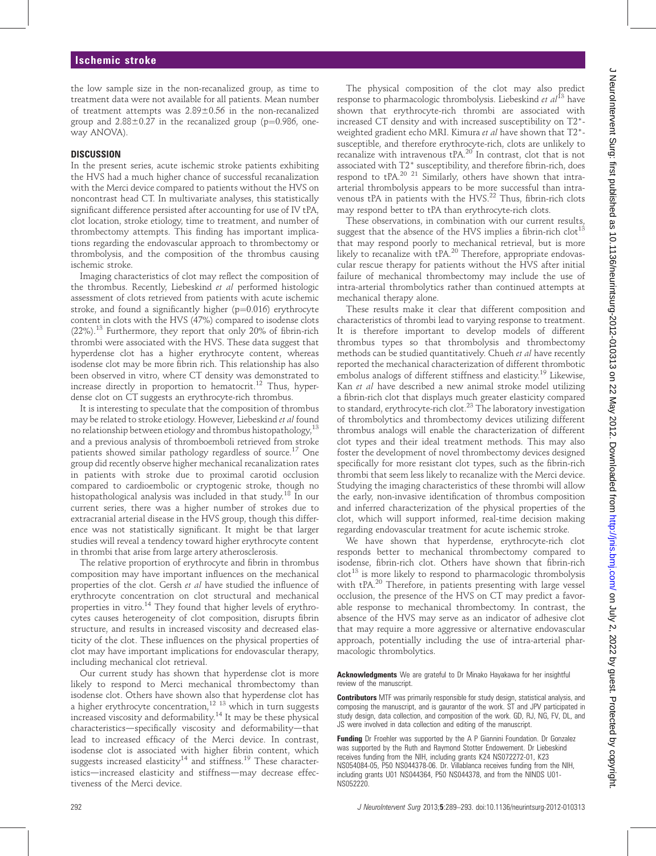the low sample size in the non-recanalized group, as time to treatment data were not available for all patients. Mean number of treatment attempts was  $2.89\pm0.56$  in the non-recanalized group and  $2.88\pm0.27$  in the recanalized group (p=0.986, oneway ANOVA).

#### **DISCUSSION**

In the present series, acute ischemic stroke patients exhibiting the HVS had a much higher chance of successful recanalization with the Merci device compared to patients without the HVS on noncontrast head CT. In multivariate analyses, this statistically significant difference persisted after accounting for use of IV tPA, clot location, stroke etiology, time to treatment, and number of thrombectomy attempts. This finding has important implications regarding the endovascular approach to thrombectomy or thrombolysis, and the composition of the thrombus causing ischemic stroke.

Imaging characteristics of clot may reflect the composition of the thrombus. Recently, Liebeskind et al performed histologic assessment of clots retrieved from patients with acute ischemic stroke, and found a significantly higher ( $p=0.016$ ) erythrocyte content in clots with the HVS (47%) compared to isodense clots (22%).<sup>13</sup> Furthermore, they report that only 20% of fibrin-rich thrombi were associated with the HVS. These data suggest that hyperdense clot has a higher erythrocyte content, whereas isodense clot may be more fibrin rich. This relationship has also been observed in vitro, where CT density was demonstrated to increase directly in proportion to hematocrit.<sup>12</sup> Thus, hyperdense clot on CT suggests an erythrocyte-rich thrombus.

It is interesting to speculate that the composition of thrombus may be related to stroke etiology. However, Liebeskind et al found no relationship between etiology and thrombus histopathology,<sup>13</sup> and a previous analysis of thromboemboli retrieved from stroke patients showed similar pathology regardless of source.<sup>17</sup> One group did recently observe higher mechanical recanalization rates in patients with stroke due to proximal carotid occlusion compared to cardioembolic or cryptogenic stroke, though no histopathological analysis was included in that study.<sup>18</sup> In our current series, there was a higher number of strokes due to extracranial arterial disease in the HVS group, though this difference was not statistically significant. It might be that larger studies will reveal a tendency toward higher erythrocyte content in thrombi that arise from large artery atherosclerosis.

The relative proportion of erythrocyte and fibrin in thrombus composition may have important influences on the mechanical properties of the clot. Gersh et al have studied the influence of erythrocyte concentration on clot structural and mechanical properties in vitro.<sup>14</sup> They found that higher levels of erythrocytes causes heterogeneity of clot composition, disrupts fibrin structure, and results in increased viscosity and decreased elasticity of the clot. These influences on the physical properties of clot may have important implications for endovascular therapy, including mechanical clot retrieval.

Our current study has shown that hyperdense clot is more likely to respond to Merci mechanical thrombectomy than isodense clot. Others have shown also that hyperdense clot has a higher erythrocyte concentration,<sup>12 13</sup> which in turn suggests increased viscosity and deformability.14 It may be these physical characteristics-specifically viscosity and deformability-that lead to increased efficacy of the Merci device. In contrast, isodense clot is associated with higher fibrin content, which suggests increased elasticity<sup>14</sup> and stiffness.<sup>19</sup> These characteristics-increased elasticity and stiffness-may decrease effectiveness of the Merci device.

The physical composition of the clot may also predict response to pharmacologic thrombolysis. Liebeskind et  $al^{13}$  have shown that erythrocyte-rich thrombi are associated with increased CT density and with increased susceptibility on T2\* weighted gradient echo MRI. Kimura et al have shown that T2\* susceptible, and therefore erythrocyte-rich, clots are unlikely to recanalize with intravenous tPA.20 In contrast, clot that is not associated with T2\* susceptibility, and therefore fibrin-rich, does respond to tPA.<sup>20 21</sup> Similarly, others have shown that intraarterial thrombolysis appears to be more successful than intravenous tPA in patients with the HVS.<sup>22</sup> Thus, fibrin-rich clots may respond better to tPA than erythrocyte-rich clots.

These observations, in combination with our current results, suggest that the absence of the HVS implies a fibrin-rich  $clot<sup>1</sup>$ that may respond poorly to mechanical retrieval, but is more likely to recanalize with tPA.<sup>20</sup> Therefore, appropriate endovascular rescue therapy for patients without the HVS after initial failure of mechanical thrombectomy may include the use of intra-arterial thrombolytics rather than continued attempts at mechanical therapy alone.

These results make it clear that different composition and characteristics of thrombi lead to varying response to treatment. It is therefore important to develop models of different thrombus types so that thrombolysis and thrombectomy methods can be studied quantitatively. Chueh et al have recently reported the mechanical characterization of different thrombotic embolus analogs of different stiffness and elasticity.<sup>19</sup> Likewise, Kan et al have described a new animal stroke model utilizing a fibrin-rich clot that displays much greater elasticity compared to standard, erythrocyte-rich clot.<sup>23</sup> The laboratory investigation of thrombolytics and thrombectomy devices utilizing different thrombus analogs will enable the characterization of different clot types and their ideal treatment methods. This may also foster the development of novel thrombectomy devices designed specifically for more resistant clot types, such as the fibrin-rich thrombi that seem less likely to recanalize with the Merci device. Studying the imaging characteristics of these thrombi will allow the early, non-invasive identification of thrombus composition and inferred characterization of the physical properties of the clot, which will support informed, real-time decision making regarding endovascular treatment for acute ischemic stroke.

We have shown that hyperdense, erythrocyte-rich clot responds better to mechanical thrombectomy compared to isodense, fibrin-rich clot. Others have shown that fibrin-rich  $\cot^{13}$  is more likely to respond to pharmacologic thrombolysis with tPA.<sup>20</sup> Therefore, in patients presenting with large vessel occlusion, the presence of the HVS on CT may predict a favorable response to mechanical thrombectomy. In contrast, the absence of the HVS may serve as an indicator of adhesive clot that may require a more aggressive or alternative endovascular approach, potentially including the use of intra-arterial pharmacologic thrombolytics.

Acknowledgments We are grateful to Dr Minako Hayakawa for her insightful review of the manuscript.

Contributors MTF was primarily responsible for study design, statistical analysis, and composing the manuscript, and is gaurantor of the work. ST and JPV participated in study design, data collection, and composition of the work. GD, RJ, NG, FV, DL, and JS were involved in data collection and editing of the manuscript.

Funding Dr Froehler was supported by the A P Giannini Foundation. Dr Gonzalez was supported by the Ruth and Raymond Stotter Endowement. Dr Liebeskind receives funding from the NIH, including grants K24 NS072272-01, K23 NS054084-05, P50 NS044378-06. Dr. Villablanca receives funding from the NIH, including grants U01 NS044364, P50 NS044378, and from the NINDS U01- NS052220.